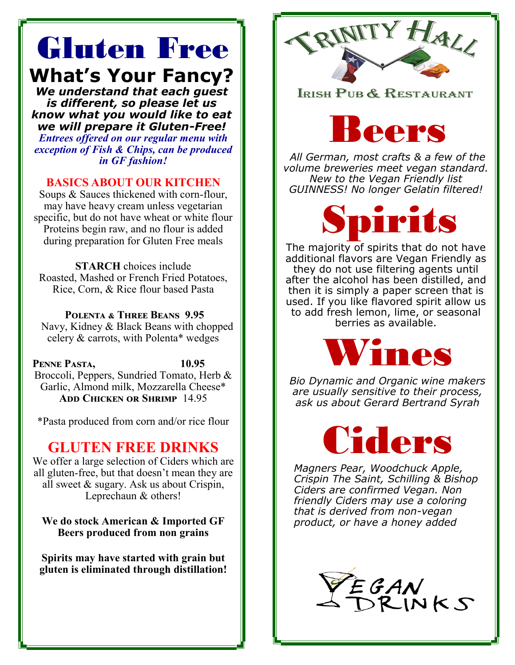# Gluten Free **What's Your Fancy?**

*We understand that each guest is different, so please let us know what you would like to eat we will prepare it Gluten-Free! Entrees offered on our regular menu with exception of Fish & Chips, can be produced in GF fashion!*

#### **BASICS ABOUT OUR KITCHEN**

Soups & Sauces thickened with corn-flour, may have heavy cream unless vegetarian specific, but do not have wheat or white flour Proteins begin raw, and no flour is added during preparation for Gluten Free meals

**STARCH** choices include Roasted, Mashed or French Fried Potatoes, Rice, Corn, & Rice flour based Pasta

**Polenta & Three Beans 9.95** Navy, Kidney & Black Beans with chopped celery & carrots, with Polenta\* wedges

**Penne Pasta, 10.95** Broccoli, Peppers, Sundried Tomato, Herb & Garlic, Almond milk, Mozzarella Cheese\* **Add Chicken or Shrimp** 14.95

\*Pasta produced from corn and/or rice flour

### **GLUTEN FREE DRINKS**

We offer a large selection of Ciders which are all gluten-free, but that doesn't mean they are all sweet & sugary. Ask us about Crispin, Leprechaun & others!

**We do stock American & Imported GF Beers produced from non grains**

**Spirits may have started with grain but gluten is eliminated through distillation!**



#### IRISH PUB & RESTAURANT



*All German, most crafts & a few of the volume breweries meet vegan standard. New to the Vegan Friendly list GUINNESS! No longer Gelatin filtered!*



The majority of spirits that do not have additional flavors are Vegan Friendly as they do not use filtering agents until after the alcohol has been distilled, and then it is simply a paper screen that is used. If you like flavored spirit allow us to add fresh lemon, lime, or seasonal berries as available.



*Bio Dynamic and Organic wine makers are usually sensitive to their process, ask us about Gerard Bertrand Syrah*

Ciders

*Magners Pear, Woodchuck Apple, Crispin The Saint, Schilling & Bishop Ciders are confirmed Vegan. Non friendly Ciders may use a coloring that is derived from non-vegan product, or have a honey added*